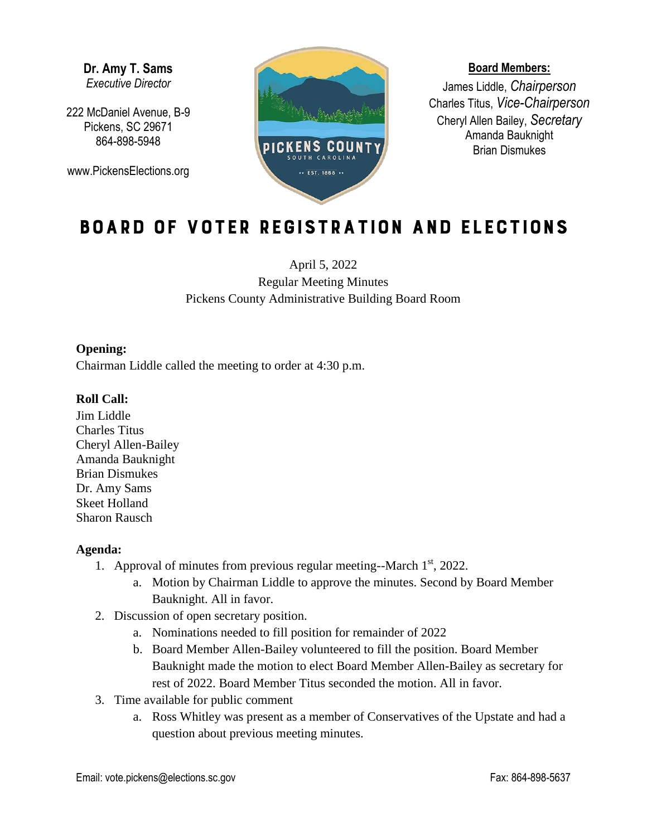**Dr. Amy T. Sams** *Executive Director*

222 McDaniel Avenue, B-9 Pickens, SC 29671 864-898-5948

www.PickensElections.org



#### **Board Members:**

James Liddle, *Chairperson* Charles Titus, *Vice-Chairperson* Cheryl Allen Bailey, *Secretary* Amanda Bauknight Brian Dismukes

# Board of Voter Registration and Elections

April 5, 2022 Regular Meeting Minutes Pickens County Administrative Building Board Room

### **Opening:**

Chairman Liddle called the meeting to order at 4:30 p.m.

## **Roll Call:**

Jim Liddle Charles Titus Cheryl Allen-Bailey Amanda Bauknight Brian Dismukes Dr. Amy Sams Skeet Holland Sharon Rausch

#### **Agenda:**

- 1. Approval of minutes from previous regular meeting--March  $1<sup>st</sup>$ , 2022.
	- a. Motion by Chairman Liddle to approve the minutes. Second by Board Member Bauknight. All in favor.
- 2. Discussion of open secretary position.
	- a. Nominations needed to fill position for remainder of 2022
	- b. Board Member Allen-Bailey volunteered to fill the position. Board Member Bauknight made the motion to elect Board Member Allen-Bailey as secretary for rest of 2022. Board Member Titus seconded the motion. All in favor.
- 3. Time available for public comment
	- a. Ross Whitley was present as a member of Conservatives of the Upstate and had a question about previous meeting minutes.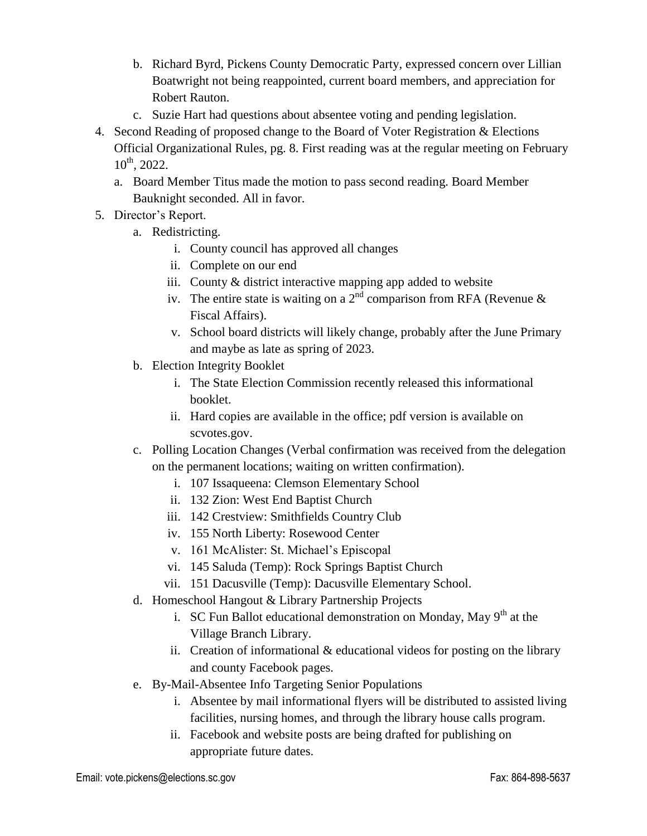- b. Richard Byrd, Pickens County Democratic Party, expressed concern over Lillian Boatwright not being reappointed, current board members, and appreciation for Robert Rauton.
- c. Suzie Hart had questions about absentee voting and pending legislation.
- 4. Second Reading of proposed change to the Board of Voter Registration & Elections Official Organizational Rules, pg. 8. First reading was at the regular meeting on February  $10^{th}$ , 2022.
	- a. Board Member Titus made the motion to pass second reading. Board Member Bauknight seconded. All in favor.
- 5. Director's Report.
	- a. Redistricting.
		- i. County council has approved all changes
		- ii. Complete on our end
		- iii. County & district interactive mapping app added to website
		- iv. The entire state is waiting on a  $2<sup>nd</sup>$  comparison from RFA (Revenue & Fiscal Affairs).
		- v. School board districts will likely change, probably after the June Primary and maybe as late as spring of 2023.
	- b. Election Integrity Booklet
		- i. The State Election Commission recently released this informational booklet.
		- ii. Hard copies are available in the office; pdf version is available on scvotes.gov.
	- c. Polling Location Changes (Verbal confirmation was received from the delegation on the permanent locations; waiting on written confirmation).
		- i. 107 Issaqueena: Clemson Elementary School
		- ii. 132 Zion: West End Baptist Church
		- iii. 142 Crestview: Smithfields Country Club
		- iv. 155 North Liberty: Rosewood Center
		- v. 161 McAlister: St. Michael's Episcopal
		- vi. 145 Saluda (Temp): Rock Springs Baptist Church
		- vii. 151 Dacusville (Temp): Dacusville Elementary School.
	- d. Homeschool Hangout & Library Partnership Projects
		- i. SC Fun Ballot educational demonstration on Monday, May  $9<sup>th</sup>$  at the Village Branch Library.
		- ii. Creation of informational  $\&$  educational videos for posting on the library and county Facebook pages.
	- e. By-Mail-Absentee Info Targeting Senior Populations
		- i. Absentee by mail informational flyers will be distributed to assisted living facilities, nursing homes, and through the library house calls program.
		- ii. Facebook and website posts are being drafted for publishing on appropriate future dates.